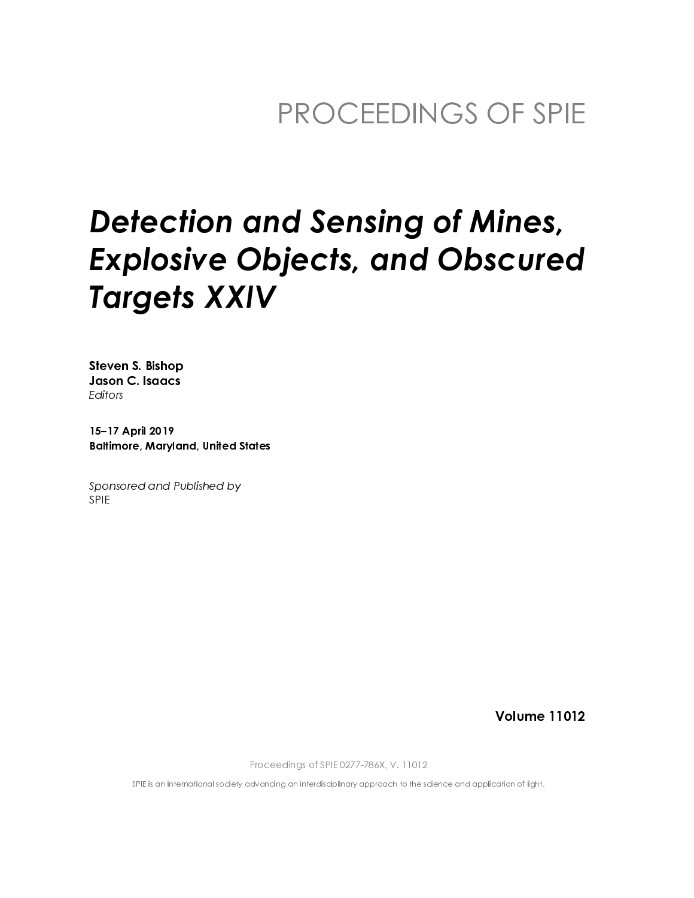# **Detection and Sensing of Mines, Explosive Objects, and Obscured Targets XXIV**

**Steven S. Bishop** Jason C. Isaacs Editors

15-17 April 2019 **Baltimore, Maryland, United States** 

Sponsored and Published by **SPIE** 

**Volume 11012** 

Proceedings of SPIE 0277-786X, V. 11012

SPIE is an international society advancing an interdisciplinary approach to the science and application of light.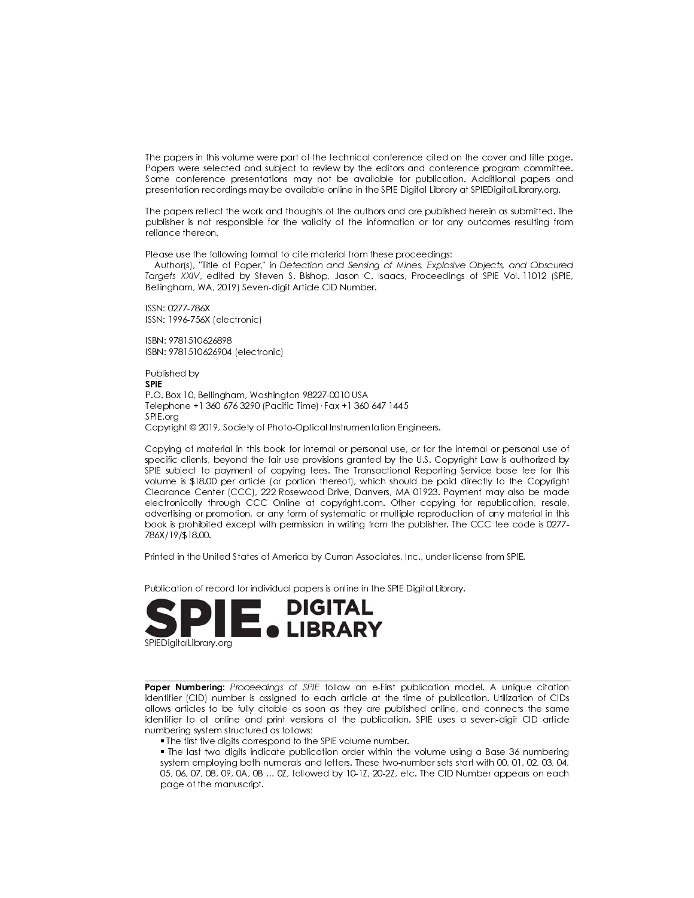The papers in this volume were part of the technical conference cited on the cover and title page. Papers were selected and subject to review by the editors and conference program committee. Some conference presentations may not be available for publication. Additional papers and presentation recordings may be available online in the SPIE Digital Library at SPIEDigital Library org.

The papers reflect the work and thoughts of the authors and are published herein as submitted. The publisher is not responsible for the validity of the information or for any outcomes resulting from reliance thereon.

Please use the following format to cite material from these proceedings:

Author(s), 'Title of Paper," in Detection and Sensing of Mines, Explosive Objects, and Obscured Targets XXIV, edited by Steven S. Bishop, Jason C. Isaacs, Proceedings of SPIE Vol. 11012 (SPIE, Bellingham, WA, 2019) Seven-digit Article CID Number.

ISSN: 0277-786X ISSN: 1996-756X (electronic)

ISBN: 9781510626898 ISBN: 9781510626904 (electronic)

Published by **SPIF** P.O. Box 10, Bellingham, Washington 98227-0010 USA Telephone +1 360 676 3290 (Pacific Time) · Fax +1 360 647 1445 SPIE.org Copyright © 2019, Society of Photo-Optical Instrumentation Engineers.

Copying of material in this book for internal or personal use, or for the internal or personal use of specific clients, beyond the fair use provisions granted by the U.S. Copyright Law is authorized by SPIE subject to payment of copying fees. The Transactional Reporting Service base fee for this volume is \$18.00 per article (or portion thereof), which should be paid directly to the Copyright Clearance Center (CCC), 222 Rosewood Drive, Danvers, MA 01923. Payment may also be made electronically through CCC Online at copyright.com. Other copying for republication, resale, advertising or promotion, or any form of systematic or multiple reproduction of any material in this book is prohibited except with permission in writing from the publisher. The CCC fee code is 0277-786X/19/\$18.00.

Printed in the United States of America by Curran Associates, Inc., under license from SPIE.

Publication of record for individual papers is online in the SPIE Digital Library.



Paper Numbering: Proceedings of SPIE follow an e-First publication model. A unique citation identifier (CID) number is assigned to each article at the time of publication. Utilization of CIDs allows articles to be fully citable as soon as they are published online, and connects the same identifier to all online and print versions of the publication. SPIE uses a seven-digit CID article numbering system structured as follows:

. The first five digits correspond to the SPIE volume number.

• The last two digits indicate publication order within the volume using a Base 36 numbering system employing both numerals and letters. These two-number sets start with 00, 01, 02, 03, 04, 05, 06, 07, 08, 09, 0A, 0B ... 0Z, followed by 10-1Z, 20-2Z, etc. The CID Number appears on each page of the manuscript.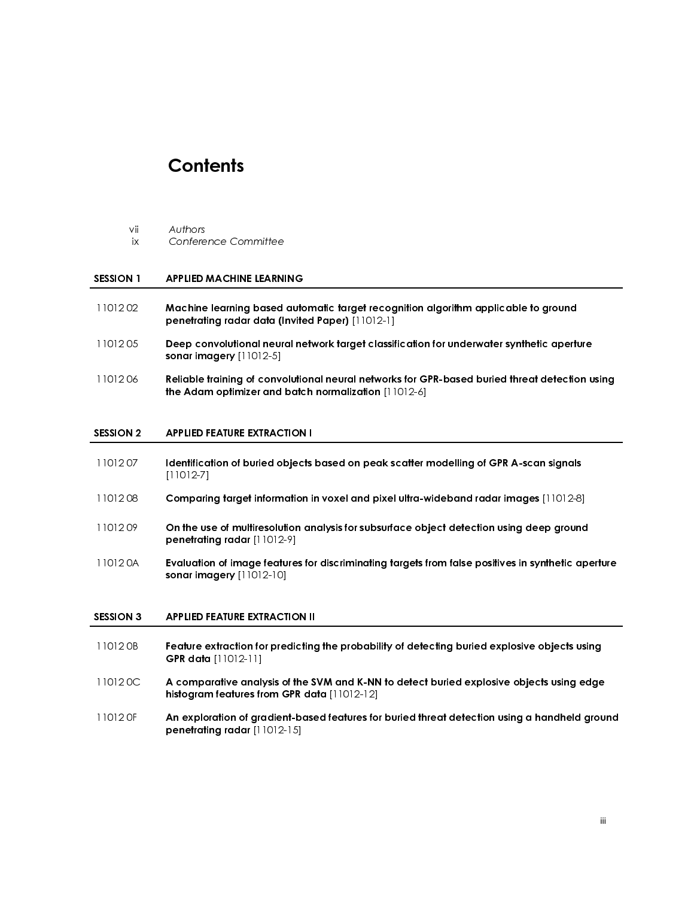## **Contents**

- -

- 
- 
- 11012 05 Deep convolutional neural network target classification for underwater synthetic aperture<br>
11012 06 Reliable training of convolutional neural networks for GPR-based buried threat detection u<br>
the Adam optimizer an 11012 06 Reliable training of convolutional neural networks for GPR-based buried threat detection using<br>
the Adam optimizer and batch normalization [11012-6]<br>
SESSION 2 APPLIED FEATURE EXTRACTION I<br>
11012 07 Identificatio

 

 

- ix Confere<br>
SESSION 1 APPLIED<br>
1101202 Machine<br>
penetrat<br>
1101205 Deep co<br>
sonar im<br>
1101206 Reliable<br>
the Adar<br>
SESSION 2 APPLIED<br>
1101207 Identifice<br>
[11012-7]<br>
1101208 Compari SESSION 1 APPLIED MACHINE LEARNI<br>
1101202 Machine learning based<br>
penetrating radar data (II<br>
1101205 Deep convolutional neurosonar imagery [11012-5]<br>
1101206 Reliable training of convo<br>
the Adam optimizer and I<br>
SESSION SESSION 1 APPLIED MACHINE LEARNING<br>
1101202 Machine learning based automorpheric principle and the sonar imagery [11012-5]<br>
1101206 Reliable framing of convolution<br>
the Adam optimizer and batc<br>
SESSION 2 APPLIED FEATURE E Machine learning based automatic target recognition algorithm applicable to ground<br>
11012 05<br>
11012 06<br>
11012 06<br>
11012 06<br>
11012 06<br>
11012 06<br>
11012 06<br>
11012 06<br>
11012 06<br>
11012 07<br>
11012 07<br>
11012 07<br>
11012 07<br>
11012 07 penetrating radar data (Invited Paper) [11012-1]<br>Deep convolutional neural network target classif<br>sonar imagery [11012-5]<br>Reliable training of convolutional neural network<br>the Adam optimizer and batch normalization [11<br>APP sonar imagery [11012-5]<br>Reliable training of converties Adam optimizer and<br>APPLIED FEATURE EXTRAC<br>Identification of buried o<br>[11012-7]<br>Comparing target inform<br>On the use of multiresolu<br>penetrating radar [11012<br>Evaluation o the Adam optimizer and batch normalization  $[11012-6]$ <br>
APPLIED FEATURE EXTRACTION I<br>
Identification of buried objects based on peak scatter i<br>  $[11012-7]$ <br>
Comparing target information in voxel and pixel ultra-w<br>
On the u SESSION 2 APPLIED FEATURE EXTRACTION I<br>
1101207 Identification of buried objects<br>
[11012-7]<br>
1101208 Comparing target information in<br>
penetrating radar [11012-9]<br>
110120A Evaluation of image features for<br>
sonar imagery [1 11012 07<br>
11012 07<br>
11012 08<br>
11012 07<br>
11012 07<br>
11012 08<br>
11012 07<br>
11012 07<br>
11012 07<br>
11012 06<br>
11012 06<br>
11012 06<br>
11012 06<br>
11012 06<br>
11012 06<br>
11012 08<br>
11012 08<br>
11012 08<br>
11012 08<br>
11012 08<br>
11012 08<br>
11012 08<br>
1
- 
- Comparing<br>Comparing<br>On the us<br>penetrating<br>Evaluation<br>SPPLIED F<br>Feature e<br>GPR data<br>A compa<br>histogram<br>An explor
- penetrating radar [11012-9]<br>Evaluation of image feature<br>sonar imagery [11012-10]<br>APPLIED FEATURE EXTRACTIO<br>Feature extraction for predic<br>GPR data [11012-11]<br>A comparative analysis of th<br>histogram features from GPF<br>An explo I1012 0A Evaluation of image features for discriminating targets from false positives in synthetic aperture<br>
sension a<br>
SESSION 3 APPLIED FEATURE EXTRACTION II<br>
Feature extraction for predicting the probability of detectin

- Comparing target information in voxel and pixel ultra-wideband radar images [11012-8]<br>
11012 09<br>
On the use of multiresolution analysis for subsurface object detection using deep ground<br>
penetrating radar [11012-9]<br>
Evalua 11012 09<br>
11012 09<br>
11012 04<br>
11012 04<br>
11012 04<br>
11012 04<br>
11012 04<br>
11012 05<br>
11012 05<br>
11012 06<br>
11012 06<br>
11012 06<br>
11012 06<br>
11012 06<br>
11012 06<br>
11012 06<br>
11012 06<br>
11012 06<br>
11012 06<br>
11012 06<br>
11012 06<br>
11012 06<br>
1 sonar imagery [11012-10]<br>APPLIED FEATURE EXTRACT<br>Feature extraction for prec<br>GPR data [11012-11]<br>A comparative analysis o<br>histogram features from G<br>An exploration of gradien<br>penetrating radar [11012-SESSION 3 APPLIED FEATURE EXTRACTION II<br>
11012 0B Feature extraction for predicting<br>
GPR data [11012-11]<br>
11012 0C A comparative analysis of the S<br>
histogram features from GPR data<br>
11012 0F An exploration of gradient-base
- 11012 0B Feature extraction for predicting the probability of detecting buried explosive objects using<br>
GPR data [11012-11]<br>
11012 0C A comparative analysis of the SVM and K-NN to detect buried explosive objects using edg GPR data [11012-11]<br>A comparative anal<sub>)</sub><br>histogram features from<br>An exploration of grapenetrating radar [11]<br>penetrating radar [11] 11012 0C A comparative analysis of the SVM and K-NN to detect buried explosive objects using edge<br>histogram features from GPR data  $[11012-12]$ <br>An exploration of gradient-based features for buried threat detection using a
- histogram features from GPR data [11012-12]<br>An exploration of gradient-based features for<br>penetrating radar [11012-15]<br>An explorating radar [11012-15] 11012 0F An exploration of gradient-based features for buried threat detection using a handheld ground penetrating radar  $[11012-15]$ penetrating radar [11012-15]<br> $[11012-15]$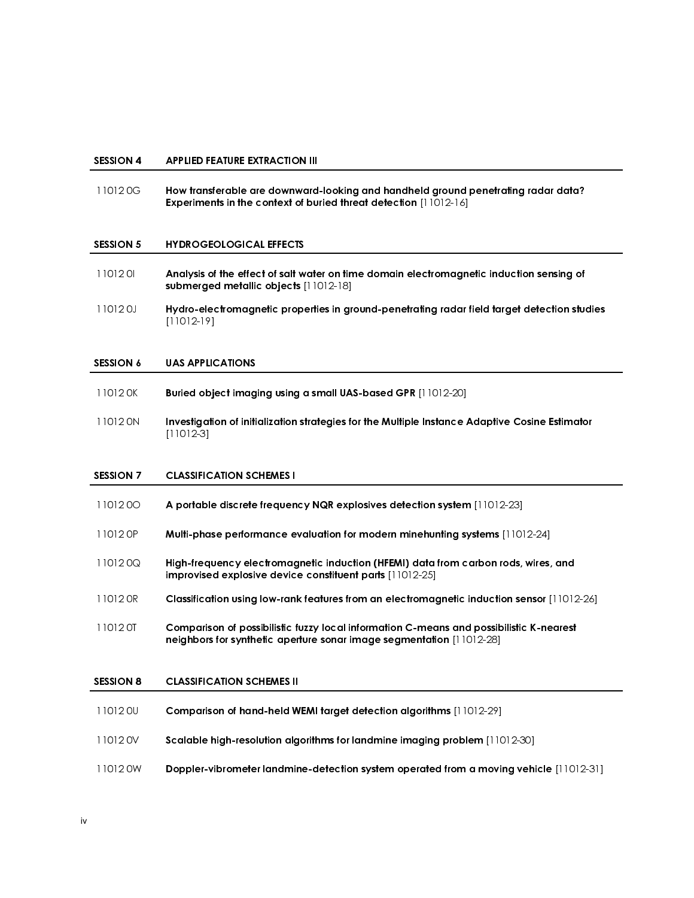### SESSION 4 APPLIED FEATURE EXTRACTION III

 11012 0G How transferable are downward-looking and handheld ground penetrating radar data? Experiments in the context of buried threat detection [11012-16]

## SESSION 5 HYDROGEOLOGICAL EFFECTS

- 11012 0I Analysis of the effect of salt water on time domain electromagnetic induction sensing of submerged metallic objects [11012-18]
- 11012 0J Hydro-electromagnetic properties in ground-penetrating radar field target detection studies [11012-19]

### SESSION 6 UAS APPLICATIONS

| 11012 OK | Buried object imaging using a small UAS-based GPR [11012-20] |
|----------|--------------------------------------------------------------|
|----------|--------------------------------------------------------------|

 11012 0N Investigation of initialization strategies for the Multiple Instance Adaptive Cosine Estimator [11012-3]

### SESSION 7 CLASSIFICATION SCHEMES I

| 1101200          | A portable discrete frequency NQR explosives detection system [11012-23]                                                                                               |
|------------------|------------------------------------------------------------------------------------------------------------------------------------------------------------------------|
| 11012 OP         | Multi-phase performance evaluation for modern minehunting systems [11012-24]                                                                                           |
| 110120Q          | High-frequency electromagnetic induction (HFEMI) data from carbon rods, wires, and<br><b>improvised explosive device constituent parts [11012-25]</b>                  |
| 11012 OR         | Classification using low-rank features from an electromagnetic induction sensor [11012-26]                                                                             |
| 11012 OT         | Comparison of possibilistic fuzzy local information C-means and possibilistic K-nearest<br><b>neighbors for synthetic aperture sonar image segmentation</b> [11012-28] |
| <b>SESSION 8</b> | <b>CLASSIFICATION SCHEMES II</b>                                                                                                                                       |
| 11012 OU         | <b>Comparison of hand-held WEMI farget detection algorithms</b> [11012-29]                                                                                             |
| 11012 OV         | Scalable high-resolution algorithms for landmine imaging problem [11012-30]                                                                                            |
| 11012 0W         | Doppler-vibrometer landmine-detection system operated from a moving vehicle [11012-31]                                                                                 |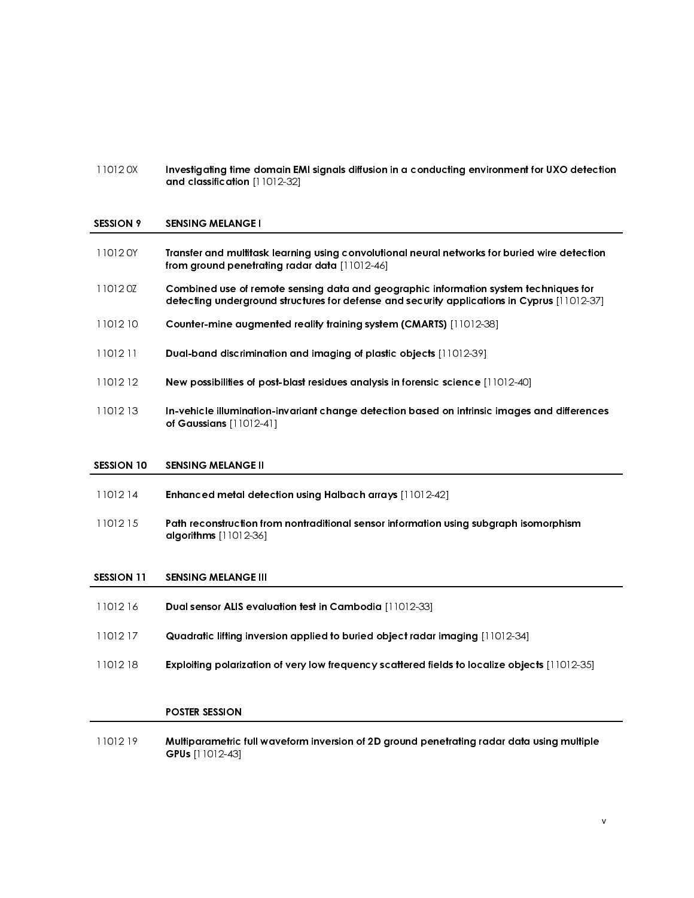11012 0X Investigating time domain EMI signals diffusion in a conducting environment for UXO detection and classification [11012-32]

#### SESSION 9 SENSING MELANGE I

| 11012 0Y | Transfer and multitask learning using convolutional neural networks for buried wire detection<br>from ground penetrating radar data [11012-46]                                      |
|----------|-------------------------------------------------------------------------------------------------------------------------------------------------------------------------------------|
| 110120Z  | Combined use of remote sensing data and geographic information system techniques for<br>detecting underground structures for defense and security applications in Cyprus [11012-37] |
| 1101210  | <b>Counter-mine augmented reality training system (CMARTS)</b> [11012-38]                                                                                                           |
| 1101211  | <b>Dual-band discrimination and imaging of plastic objects</b> [11012-39]                                                                                                           |
| 1101212  | <b>New possibilities of post-blast residues analysis in forensic science</b> [11012-40]                                                                                             |
| 1101213  | In-vehicle illumination-invariant change detection based on intrinsic images and differences<br>of Gaussians $[11012-41]$                                                           |
|          |                                                                                                                                                                                     |

## SESSION 10 SENSING MELANGE II

- 11012 14 Enhanced metal detection using Halbach arrays [11012-42]
- 11012 15 Path reconstruction from nontraditional sensor information using subgraph isomorphism algorithms [11012-36]

#### SESSION 11 SENSING MELANGE III

- 11012 16 Dual sensor ALIS evaluation test in Cambodia [11012-33]
- 11012 17 Quadratic lifting inversion applied to buried object radar imaging [11012-34]
- 11012 18 Exploiting polarization of very low frequency scattered fields to localize objects [11012-35]

### POSTER SESSION

j

 11012 19 Multiparametric full waveform inversion of 2D ground penetrating radar data using multiple GPUs [11012-43]